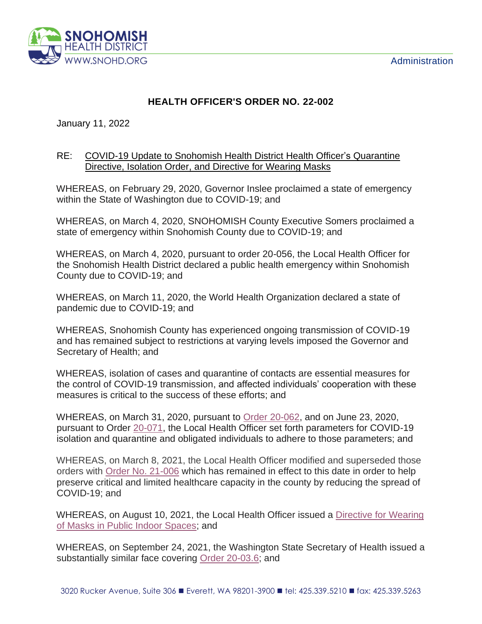

## **HEALTH OFFICER'S ORDER NO. 22-002**

January 11, 2022

## RE: COVID-19 Update to Snohomish Health District Health Officer's Quarantine Directive, Isolation Order, and Directive for Wearing Masks

WHEREAS, on February 29, 2020, Governor Inslee proclaimed a state of emergency within the State of Washington due to COVID-19; and

WHEREAS, on March 4, 2020, SNOHOMISH County Executive Somers proclaimed a state of emergency within Snohomish County due to COVID-19; and

WHEREAS, on March 4, 2020, pursuant to order 20-056, the Local Health Officer for the Snohomish Health District declared a public health emergency within Snohomish County due to COVID-19; and

WHEREAS, on March 11, 2020, the World Health Organization declared a state of pandemic due to COVID-19; and

WHEREAS, Snohomish County has experienced ongoing transmission of COVID-19 and has remained subject to restrictions at varying levels imposed the Governor and Secretary of Health; and

WHEREAS, isolation of cases and quarantine of contacts are essential measures for the control of COVID-19 transmission, and affected individuals' cooperation with these measures is critical to the success of these efforts; and

WHEREAS, on March 31, 2020, pursuant to [Order 20-062,](https://www.snohd.org/DocumentCenter/View/3599/HO-ORDER-20-62-SIGNED-20200331?bidId=) and on June 23, 2020, pursuant to Order [20-071,](https://www.snohd.org/DocumentCenter/View/4312/HO-Order-20-071-IsolationQuarantine?bidId=) the Local Health Officer set forth parameters for COVID-19 isolation and quarantine and obligated individuals to adhere to those parameters; and

WHEREAS, on March 8, 2021, the Local Health Officer modified and superseded those orders with [Order No. 21-006](https://www.snohd.org/DocumentCenter/View/6932/HO-Order-20-006_QI-Final-20210305) which has remained in effect to this date in order to help preserve critical and limited healthcare capacity in the county by reducing the spread of COVID-19; and

WHEREAS, on August 10, 2021, the Local Health Officer issued a Directive for Wearing [of Masks in Public Indoor Spaces;](https://www.snohd.org/DocumentCenter/View/7859/MaskingDirective_81021?bidId=) and

WHEREAS, on September 24, 2021, the Washington State Secretary of Health issued a substantially similar face covering [Order 20-03.6;](https://www.doh.wa.gov/Portals/1/Documents/1600/coronavirus/Secretary_of_Health_Order_20-03_Statewide_Face_Coverings.pdf) and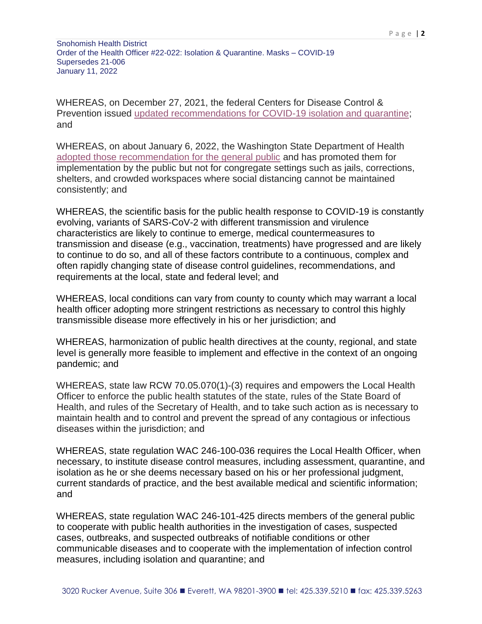Snohomish Health District Order of the Health Officer #22-022: Isolation & Quarantine. Masks – COVID-19 Supersedes 21-006 January 11, 2022

WHEREAS, on December 27, 2021, the federal Centers for Disease Control & Prevention issued [updated recommendations for COVID-19 isolation and quarantine;](https://www.cdc.gov/coronavirus/2019-ncov/your-health/quarantine-isolation.html#isolation) and

WHEREAS, on about January 6, 2022, the Washington State Department of Health [adopted those recommendation for the general public](https://www.doh.wa.gov/Emergencies/COVID19/CaseInvestigationsandContactTracing/IsolationandQuarantineforCOVID19) and has promoted them for implementation by the public but not for congregate settings such as jails, corrections, shelters, and crowded workspaces where social distancing cannot be maintained consistently; and

WHEREAS, the scientific basis for the public health response to COVID-19 is constantly evolving, variants of SARS-CoV-2 with different transmission and virulence characteristics are likely to continue to emerge, medical countermeasures to transmission and disease (e.g., vaccination, treatments) have progressed and are likely to continue to do so, and all of these factors contribute to a continuous, complex and often rapidly changing state of disease control guidelines, recommendations, and requirements at the local, state and federal level; and

WHEREAS, local conditions can vary from county to county which may warrant a local health officer adopting more stringent restrictions as necessary to control this highly transmissible disease more effectively in his or her jurisdiction; and

WHEREAS, harmonization of public health directives at the county, regional, and state level is generally more feasible to implement and effective in the context of an ongoing pandemic; and

WHEREAS, state law RCW 70.05.070(1)-(3) requires and empowers the Local Health Officer to enforce the public health statutes of the state, rules of the State Board of Health, and rules of the Secretary of Health, and to take such action as is necessary to maintain health and to control and prevent the spread of any contagious or infectious diseases within the jurisdiction; and

WHEREAS, state regulation WAC 246-100-036 requires the Local Health Officer, when necessary, to institute disease control measures, including assessment, quarantine, and isolation as he or she deems necessary based on his or her professional judgment, current standards of practice, and the best available medical and scientific information; and

WHEREAS, state regulation WAC 246-101-425 directs members of the general public to cooperate with public health authorities in the investigation of cases, suspected cases, outbreaks, and suspected outbreaks of notifiable conditions or other communicable diseases and to cooperate with the implementation of infection control measures, including isolation and quarantine; and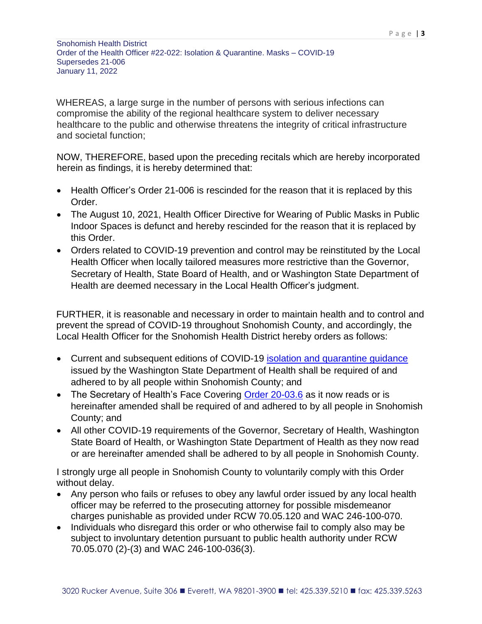Snohomish Health District Order of the Health Officer #22-022: Isolation & Quarantine. Masks – COVID-19 Supersedes 21-006 January 11, 2022

WHEREAS, a large surge in the number of persons with serious infections can compromise the ability of the regional healthcare system to deliver necessary healthcare to the public and otherwise threatens the integrity of critical infrastructure and societal function;

NOW, THEREFORE, based upon the preceding recitals which are hereby incorporated herein as findings, it is hereby determined that:

- Health Officer's Order 21-006 is rescinded for the reason that it is replaced by this Order.
- The August 10, 2021, Health Officer Directive for Wearing of Public Masks in Public Indoor Spaces is defunct and hereby rescinded for the reason that it is replaced by this Order.
- Orders related to COVID-19 prevention and control may be reinstituted by the Local Health Officer when locally tailored measures more restrictive than the Governor, Secretary of Health, State Board of Health, and or Washington State Department of Health are deemed necessary in the Local Health Officer's judgment.

FURTHER, it is reasonable and necessary in order to maintain health and to control and prevent the spread of COVID-19 throughout Snohomish County, and accordingly, the Local Health Officer for the Snohomish Health District hereby orders as follows:

- Current and subsequent editions of COVID-19 [isolation and quarantine guidance](https://www.doh.wa.gov/Emergencies/COVID19/CaseInvestigationsandContactTracing/IsolationandQuarantineforCOVID19) issued by the Washington State Department of Health shall be required of and adhered to by all people within Snohomish County; and
- The Secretary of Health's Face Covering [Order 20-03.6](https://www.doh.wa.gov/Portals/1/Documents/1600/coronavirus/Secretary_of_Health_Order_20-03_Statewide_Face_Coverings.pdf) as it now reads or is hereinafter amended shall be required of and adhered to by all people in Snohomish County; and
- All other COVID-19 requirements of the Governor, Secretary of Health, Washington State Board of Health, or Washington State Department of Health as they now read or are hereinafter amended shall be adhered to by all people in Snohomish County.

I strongly urge all people in Snohomish County to voluntarily comply with this Order without delay.

- Any person who fails or refuses to obey any lawful order issued by any local health officer may be referred to the prosecuting attorney for possible misdemeanor charges punishable as provided under RCW [70.05.120](http://app.leg.wa.gov/RCW/default.aspx?cite=70.05.120) and WAC 246-100-070.
- Individuals who disregard this order or who otherwise fail to comply also may be subject to involuntary detention pursuant to public health authority under RCW 70.05.070 (2)-(3) and WAC 246-100-036(3).